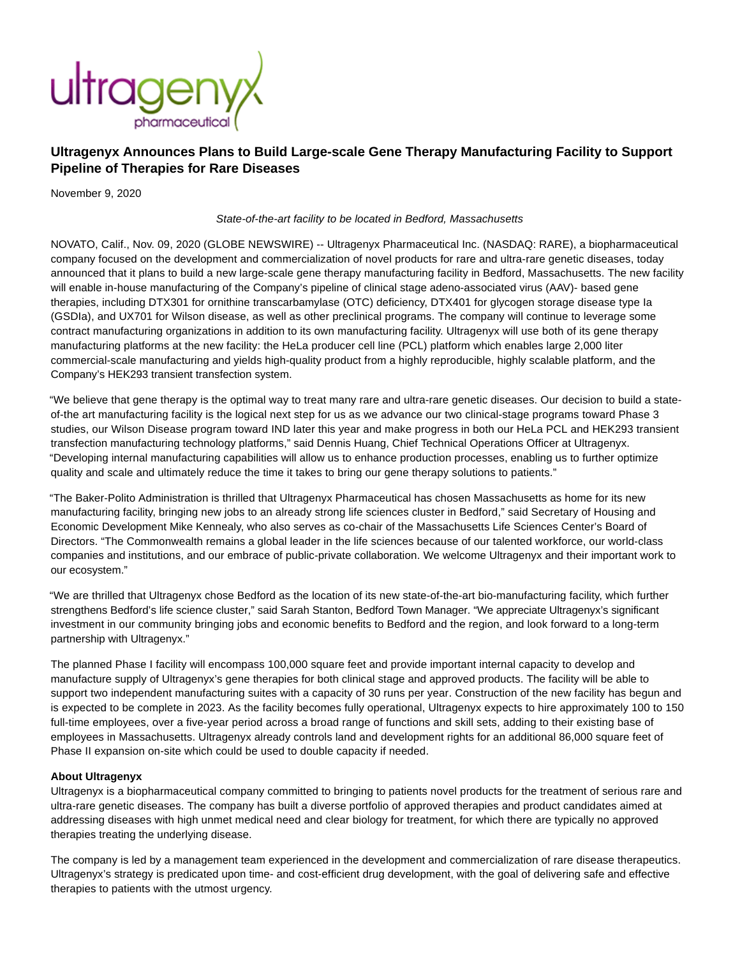

## **Ultragenyx Announces Plans to Build Large-scale Gene Therapy Manufacturing Facility to Support Pipeline of Therapies for Rare Diseases**

November 9, 2020

State-of-the-art facility to be located in Bedford, Massachusetts

NOVATO, Calif., Nov. 09, 2020 (GLOBE NEWSWIRE) -- Ultragenyx Pharmaceutical Inc. (NASDAQ: RARE), a biopharmaceutical company focused on the development and commercialization of novel products for rare and ultra-rare genetic diseases, today announced that it plans to build a new large-scale gene therapy manufacturing facility in Bedford, Massachusetts. The new facility will enable in-house manufacturing of the Company's pipeline of clinical stage adeno-associated virus (AAV)- based gene therapies, including DTX301 for ornithine transcarbamylase (OTC) deficiency, DTX401 for glycogen storage disease type Ia (GSDIa), and UX701 for Wilson disease, as well as other preclinical programs. The company will continue to leverage some contract manufacturing organizations in addition to its own manufacturing facility. Ultragenyx will use both of its gene therapy manufacturing platforms at the new facility: the HeLa producer cell line (PCL) platform which enables large 2,000 liter commercial-scale manufacturing and yields high-quality product from a highly reproducible, highly scalable platform, and the Company's HEK293 transient transfection system.

"We believe that gene therapy is the optimal way to treat many rare and ultra-rare genetic diseases. Our decision to build a stateof-the art manufacturing facility is the logical next step for us as we advance our two clinical-stage programs toward Phase 3 studies, our Wilson Disease program toward IND later this year and make progress in both our HeLa PCL and HEK293 transient transfection manufacturing technology platforms," said Dennis Huang, Chief Technical Operations Officer at Ultragenyx. "Developing internal manufacturing capabilities will allow us to enhance production processes, enabling us to further optimize quality and scale and ultimately reduce the time it takes to bring our gene therapy solutions to patients."

"The Baker-Polito Administration is thrilled that Ultragenyx Pharmaceutical has chosen Massachusetts as home for its new manufacturing facility, bringing new jobs to an already strong life sciences cluster in Bedford," said Secretary of Housing and Economic Development Mike Kennealy, who also serves as co-chair of the Massachusetts Life Sciences Center's Board of Directors. "The Commonwealth remains a global leader in the life sciences because of our talented workforce, our world-class companies and institutions, and our embrace of public-private collaboration. We welcome Ultragenyx and their important work to our ecosystem."

"We are thrilled that Ultragenyx chose Bedford as the location of its new state-of-the-art bio-manufacturing facility, which further strengthens Bedford's life science cluster," said Sarah Stanton, Bedford Town Manager. "We appreciate Ultragenyx's significant investment in our community bringing jobs and economic benefits to Bedford and the region, and look forward to a long-term partnership with Ultragenyx."

The planned Phase I facility will encompass 100,000 square feet and provide important internal capacity to develop and manufacture supply of Ultragenyx's gene therapies for both clinical stage and approved products. The facility will be able to support two independent manufacturing suites with a capacity of 30 runs per year. Construction of the new facility has begun and is expected to be complete in 2023. As the facility becomes fully operational, Ultragenyx expects to hire approximately 100 to 150 full-time employees, over a five-year period across a broad range of functions and skill sets, adding to their existing base of employees in Massachusetts. Ultragenyx already controls land and development rights for an additional 86,000 square feet of Phase II expansion on-site which could be used to double capacity if needed.

## **About Ultragenyx**

Ultragenyx is a biopharmaceutical company committed to bringing to patients novel products for the treatment of serious rare and ultra-rare genetic diseases. The company has built a diverse portfolio of approved therapies and product candidates aimed at addressing diseases with high unmet medical need and clear biology for treatment, for which there are typically no approved therapies treating the underlying disease.

The company is led by a management team experienced in the development and commercialization of rare disease therapeutics. Ultragenyx's strategy is predicated upon time- and cost-efficient drug development, with the goal of delivering safe and effective therapies to patients with the utmost urgency.